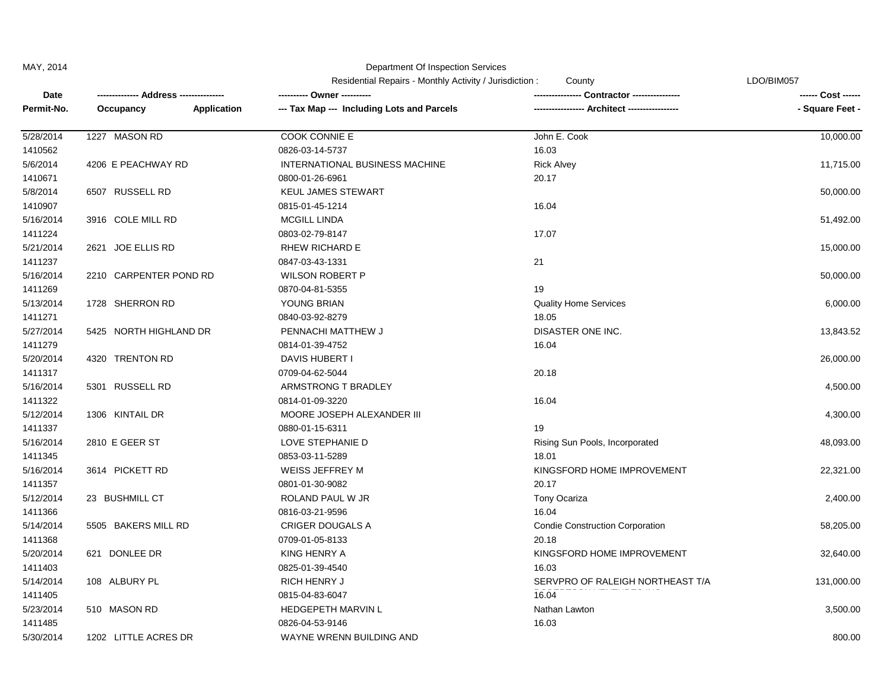## MAY, 2014 Department Of Inspection Services

|            | - Address ----         |             | Residential Repairs - Monthly Activity / Jurisdiction:<br>County |                                        | LDO/BIM057      |  |
|------------|------------------------|-------------|------------------------------------------------------------------|----------------------------------------|-----------------|--|
| Date       |                        |             | ---------- Owner ----------                                      | <b>Contractor ---------------</b>      |                 |  |
| Permit-No. | Occupancy              | Application | --- Tax Map --- Including Lots and Parcels                       |                                        | - Square Feet - |  |
| 5/28/2014  | 1227 MASON RD          |             | COOK CONNIE E                                                    | John E. Cook                           | 10,000.00       |  |
| 1410562    |                        |             | 0826-03-14-5737                                                  | 16.03                                  |                 |  |
| 5/6/2014   | 4206 E PEACHWAY RD     |             | INTERNATIONAL BUSINESS MACHINE                                   | <b>Rick Alvey</b>                      | 11,715.00       |  |
| 1410671    |                        |             | 0800-01-26-6961                                                  | 20.17                                  |                 |  |
| 5/8/2014   | 6507 RUSSELL RD        |             | <b>KEUL JAMES STEWART</b>                                        |                                        | 50,000.00       |  |
| 1410907    |                        |             | 0815-01-45-1214                                                  | 16.04                                  |                 |  |
| 5/16/2014  | 3916 COLE MILL RD      |             | <b>MCGILL LINDA</b>                                              |                                        | 51,492.00       |  |
| 1411224    |                        |             | 0803-02-79-8147                                                  | 17.07                                  |                 |  |
| 5/21/2014  | 2621 JOE ELLIS RD      |             | <b>RHEW RICHARD E</b>                                            |                                        | 15,000.00       |  |
| 1411237    |                        |             | 0847-03-43-1331                                                  | 21                                     |                 |  |
| 5/16/2014  | 2210 CARPENTER POND RD |             | <b>WILSON ROBERT P</b>                                           |                                        | 50,000.00       |  |
| 1411269    |                        |             | 0870-04-81-5355                                                  | 19                                     |                 |  |
| 5/13/2014  | 1728 SHERRON RD        |             | YOUNG BRIAN                                                      | <b>Quality Home Services</b>           | 6,000.00        |  |
| 1411271    |                        |             | 0840-03-92-8279                                                  | 18.05                                  |                 |  |
| 5/27/2014  | 5425 NORTH HIGHLAND DR |             | PENNACHI MATTHEW J                                               | DISASTER ONE INC.                      | 13,843.52       |  |
| 1411279    |                        |             | 0814-01-39-4752                                                  | 16.04                                  |                 |  |
| 5/20/2014  | 4320 TRENTON RD        |             | DAVIS HUBERT I                                                   |                                        | 26,000.00       |  |
| 1411317    |                        |             | 0709-04-62-5044                                                  | 20.18                                  |                 |  |
| 5/16/2014  | 5301 RUSSELL RD        |             | ARMSTRONG T BRADLEY                                              |                                        | 4,500.00        |  |
| 1411322    |                        |             | 0814-01-09-3220                                                  | 16.04                                  |                 |  |
| 5/12/2014  | 1306 KINTAIL DR        |             | MOORE JOSEPH ALEXANDER III                                       |                                        | 4,300.00        |  |
| 1411337    |                        |             | 0880-01-15-6311                                                  | 19                                     |                 |  |
| 5/16/2014  | 2810 E GEER ST         |             | LOVE STEPHANIE D                                                 | Rising Sun Pools, Incorporated         | 48,093.00       |  |
| 1411345    |                        |             | 0853-03-11-5289                                                  | 18.01                                  |                 |  |
| 5/16/2014  | 3614 PICKETT RD        |             | <b>WEISS JEFFREY M</b>                                           | KINGSFORD HOME IMPROVEMENT             | 22,321.00       |  |
| 1411357    |                        |             | 0801-01-30-9082                                                  | 20.17                                  |                 |  |
| 5/12/2014  | 23 BUSHMILL CT         |             | ROLAND PAUL W JR                                                 | Tony Ocariza                           | 2,400.00        |  |
| 1411366    |                        |             | 0816-03-21-9596                                                  | 16.04                                  |                 |  |
| 5/14/2014  | 5505 BAKERS MILL RD    |             | <b>CRIGER DOUGALS A</b>                                          | <b>Condie Construction Corporation</b> | 58,205.00       |  |
| 1411368    |                        |             | 0709-01-05-8133                                                  | 20.18                                  |                 |  |
| 5/20/2014  | 621 DONLEE DR          |             | KING HENRY A                                                     | KINGSFORD HOME IMPROVEMENT             | 32,640.00       |  |
| 1411403    |                        |             | 0825-01-39-4540                                                  | 16.03                                  |                 |  |
| 5/14/2014  | 108 ALBURY PL          |             | RICH HENRY J                                                     | SERVPRO OF RALEIGH NORTHEAST T/A       | 131,000.00      |  |
| 1411405    |                        |             | 0815-04-83-6047                                                  | 16.04                                  |                 |  |
| 5/23/2014  | 510 MASON RD           |             | <b>HEDGEPETH MARVIN L</b>                                        | Nathan Lawton                          | 3,500.00        |  |
| 1411485    |                        |             | 0826-04-53-9146                                                  | 16.03                                  |                 |  |
| 5/30/2014  | 1202 LITTLE ACRES DR   |             | WAYNE WRENN BUILDING AND                                         |                                        | 800.00          |  |